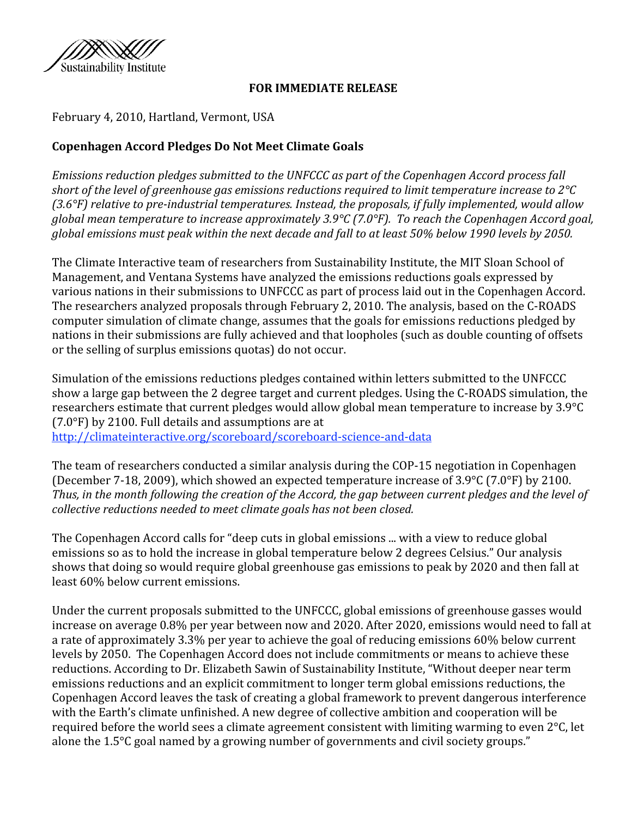

### **FOR
IMMEDIATE
RELEASE**

February
4,
2010,
Hartland,
Vermont,
USA

# **Copenhagen
Accord
Pledges Do
Not
Meet
Climate
Goals**

*Emissions
reduction
pledges
submitted
to
the
UNFCCC
as
part
of
the
Copenhagen
Accord
process
fall*  short of the level of greenhouse gas emissions reductions required to limit temperature increase to 2°C *(3.6°F)
relative
to
preindustrial
temperatures.
Instead,
the
proposals, if
fully
implemented,
would
allow*  global mean temperature to increase approximately 3.9°C (7.0°F). To reach the Copenhagen Accord goal, global emissions must peak within the next decade and fall to at least 50% below 1990 levels by 2050.

The Climate Interactive team of researchers from Sustainability Institute, the MIT Sloan School of Management, and Ventana Systems have analyzed the emissions reductions goals expressed by various nations in their submissions to UNFCCC as part of process laid out in the Copenhagen Accord. The
researchers
analyzed
proposals
through
February
2,
2010.
The
analysis,
based
on
the
C‐ROADS computer
simulation
of
climate
change,
assumes
that
the
goals
for
emissions
reductions
pledged
by nations
in
their
submissions
are
fully
achieved
and
that
loopholes
(such
as
double
counting
of
offsets or
the
selling
of
surplus
emissions
quotas)
do
not
occur.

Simulation
of
the
emissions
reductions
pledges
contained
within
letters
submitted
to
the
UNFCCC show
a
large
gap
between
the
2
degree
target
and
current
pledges.
Using
the
C‐ROADS
simulation,
the researchers estimate that current pledges would allow global mean temperature to increase by 3.9°C (7.0°F)
by
2100.
Full
details
and
assumptions
are
at

http://climateinteractive.org/scoreboard/scoreboard-science-and-data

The
team
of
researchers
conducted
a
similar
analysis
during
the
COP‐15
negotiation
in
Copenhagen (December
7‐18,
2009),
which
showed
an
expected
temperature
increase
of
3.9°C
(7.0°F)
by
2100. Thus, in the month following the creation of the Accord, the gap between current pledges and the level of *collective
reductions
needed
to
meet
climate
goals
has
not
been
closed.*

The Copenhagen Accord calls for "deep cuts in global emissions ... with a view to reduce global emissions
so
as
to
hold
the
increase
in
global
temperature
below
2
degrees
Celsius."
Our
analysis shows that doing so would require global greenhouse gas emissions to peak by 2020 and then fall at least
60%
below
current
emissions.

Under the current proposals submitted to the UNFCCC, global emissions of greenhouse gasses would increase on average 0.8% per year between now and 2020. After 2020, emissions would need to fall at a
rate
of
approximately
3.3%
per
year
to
achieve
the
goal
of
reducing
emissions
60%
below
current levels by 2050. The Copenhagen Accord does not include commitments or means to achieve these reductions. According to Dr. Elizabeth Sawin of Sustainability Institute, "Without deeper near term emissions
reductions
and
an
explicit
commitment
to
longer
term
global
emissions
reductions,
the Copenhagen Accord leaves the task of creating a global framework to prevent dangerous interference with the Earth's climate unfinished. A new degree of collective ambition and cooperation will be required before the world sees a climate agreement consistent with limiting warming to even 2<sup>o</sup>C, let alone the 1.5°C goal named by a growing number of governments and civil society groups."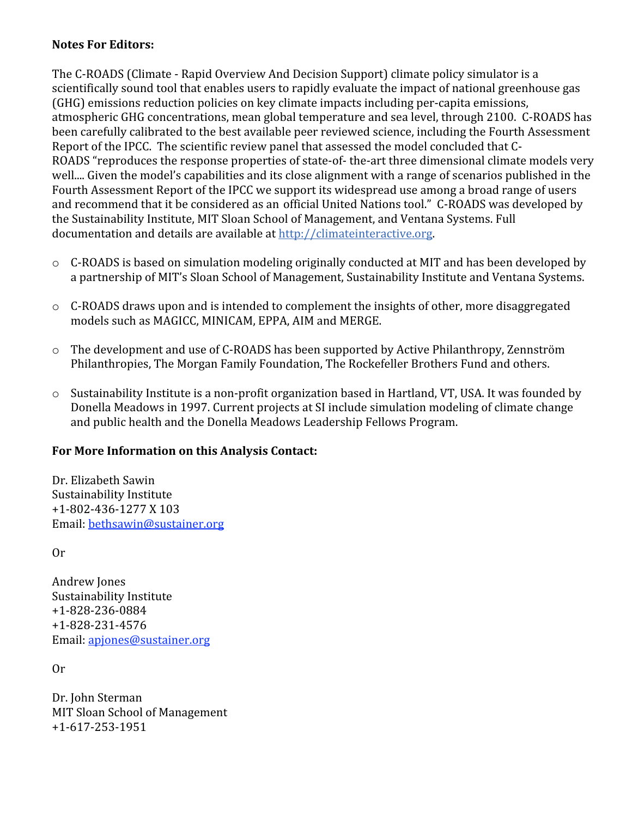## **Notes
For
Editors:**

The C-ROADS (Climate - Rapid Overview And Decision Support) climate policy simulator is a scientifically
sound
tool
that
enables
users
to
rapidly
evaluate
the
impact
of
national
greenhouse
gas (GHG)
emissions
reduction
policies
on
key
climate
impacts
including
per‐capita
emissions, atmospheric
GHG
concentrations,
mean
global
temperature
and
sea
level,
through
2100. C‐ROADS
has been carefully calibrated to the best available peer reviewed science, including the Fourth Assessment Report of the IPCC. The scientific review panel that assessed the model concluded that C-ROADS "reproduces the response properties of state-of- the-art three dimensional climate models very well.... Given the model's capabilities and its close alignment with a range of scenarios published in the Fourth Assessment Report of the IPCC we support its widespread use among a broad range of users and recommend that it be considered as an official United Nations tool." C-ROADS was developed by the
Sustainability
Institute,
MIT
Sloan
School
of
Management,
and
Ventana
Systems.
Full documentation
and
details
are
available
at
http://climateinteractive.org.

- C-ROADS is based on simulation modeling originally conducted at MIT and has been developed by a partnership of MIT's Sloan School of Management, Sustainability Institute and Ventana Systems.
- C-ROADS draws upon and is intended to complement the insights of other, more disaggregated models
such
as
MAGICC,
MINICAM,
EPPA,
AIM
and
MERGE.
- o The
development
and
use
of
C‐ROADS
has
been
supported
by
Active
Philanthropy,
Zennström Philanthropies,
The
Morgan
Family
Foundation,
The
Rockefeller
Brothers
Fund
and
others.
- o Sustainability
Institute
is
a
non‐profit
organization
based
in
Hartland,
VT,
USA.
It
was
founded
by Donella
Meadows
in
1997.
Current
projects
at
SI
include
simulation
modeling
of
climate
change and
public
health
and
the
Donella
Meadows
Leadership
Fellows
Program.

# **For
More
Information
on
this
Analysis
Contact:**

Dr.
Elizabeth
Sawin Sustainability
Institute +1‐802‐436‐1277
X
103 Email:
bethsawin@sustainer.org

Or

Andrew
Jones Sustainability
Institute +1‐828‐236‐0884 +1‐828‐231‐4576 Email:
apjones@sustainer.org

Or

Dr.
John
Sterman MIT
Sloan
School
of
Management +1‐617‐253‐1951